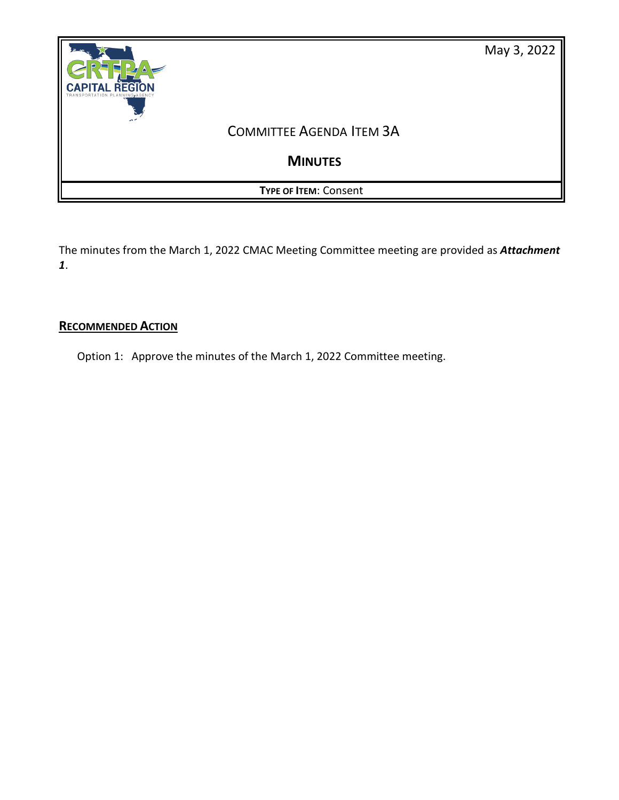

The minutes from the March 1, 2022 CMAC Meeting Committee meeting are provided as *Attachment 1*.

### **RECOMMENDED ACTION**

Option 1: Approve the minutes of the March 1, 2022 Committee meeting.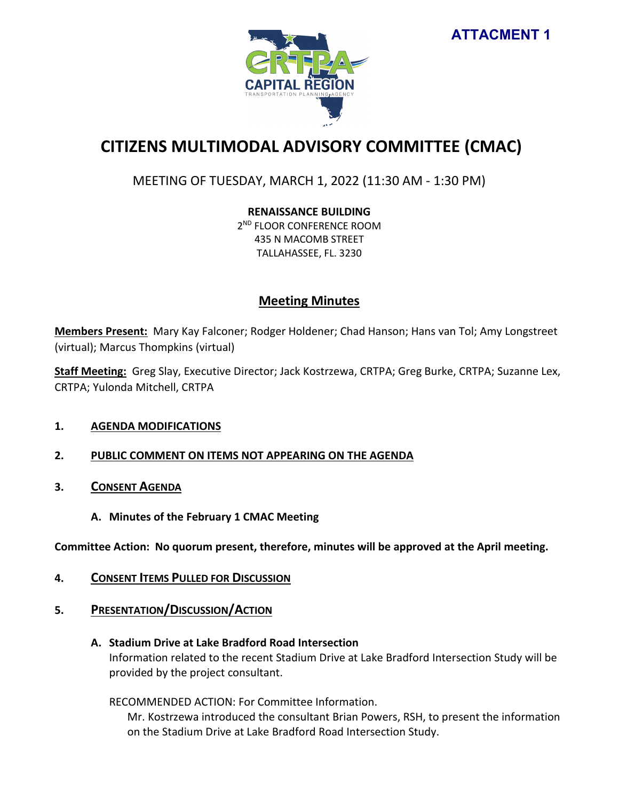

# **CITIZENS MULTIMODAL ADVISORY COMMITTEE (CMAC)**

## MEETING OF TUESDAY, MARCH 1, 2022 (11:30 AM - 1:30 PM)

**RENAISSANCE BUILDING**

2<sup>ND</sup> FLOOR CONFERENCE ROOM 435 N MACOMB STREET TALLAHASSEE, FL. 3230

## **Meeting Minutes**

**Members Present:** Mary Kay Falconer; Rodger Holdener; Chad Hanson; Hans van Tol; Amy Longstreet (virtual); Marcus Thompkins (virtual)

**Staff Meeting:** Greg Slay, Executive Director; Jack Kostrzewa, CRTPA; Greg Burke, CRTPA; Suzanne Lex, CRTPA; Yulonda Mitchell, CRTPA

#### **1. AGENDA MODIFICATIONS**

## **2. PUBLIC COMMENT ON ITEMS NOT APPEARING ON THE AGENDA**

- **3. CONSENT AGENDA**
	- **A. Minutes of the February 1 CMAC Meeting**

**Committee Action: No quorum present, therefore, minutes will be approved at the April meeting.** 

- **4. CONSENT ITEMS PULLED FOR DISCUSSION**
- **5. PRESENTATION/DISCUSSION/ACTION**
	- **A. Stadium Drive at Lake Bradford Road Intersection**

Information related to the recent Stadium Drive at Lake Bradford Intersection Study will be provided by the project consultant.

RECOMMENDED ACTION: For Committee Information.

Mr. Kostrzewa introduced the consultant Brian Powers, RSH, to present the information on the Stadium Drive at Lake Bradford Road Intersection Study.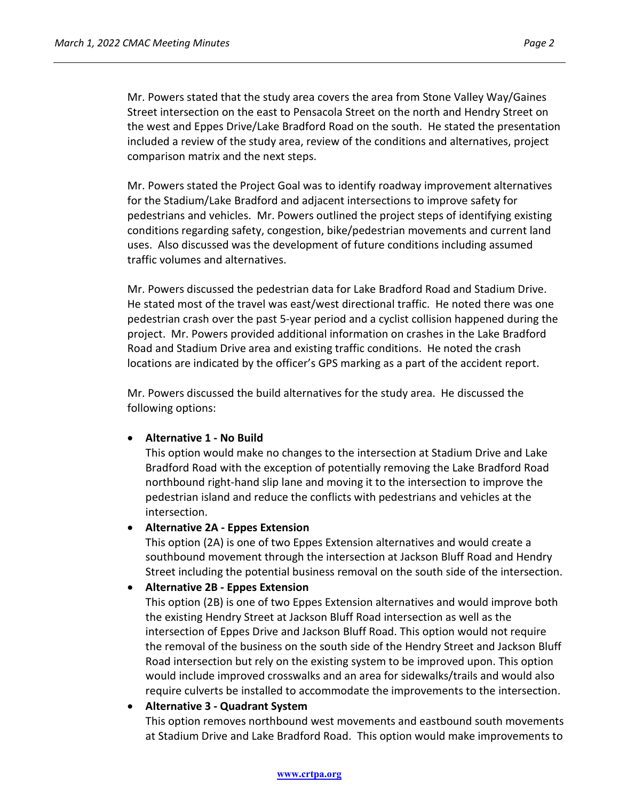Mr. Powers stated that the study area covers the area from Stone Valley Way/Gaines Street intersection on the east to Pensacola Street on the north and Hendry Street on the west and Eppes Drive/Lake Bradford Road on the south. He stated the presentation included a review of the study area, review of the conditions and alternatives, project comparison matrix and the next steps.

Mr. Powers stated the Project Goal was to identify roadway improvement alternatives for the Stadium/Lake Bradford and adjacent intersections to improve safety for pedestrians and vehicles. Mr. Powers outlined the project steps of identifying existing conditions regarding safety, congestion, bike/pedestrian movements and current land uses. Also discussed was the development of future conditions including assumed traffic volumes and alternatives.

Mr. Powers discussed the pedestrian data for Lake Bradford Road and Stadium Drive. He stated most of the travel was east/west directional traffic. He noted there was one pedestrian crash over the past 5-year period and a cyclist collision happened during the project. Mr. Powers provided additional information on crashes in the Lake Bradford Road and Stadium Drive area and existing traffic conditions. He noted the crash locations are indicated by the officer's GPS marking as a part of the accident report.

Mr. Powers discussed the build alternatives for the study area. He discussed the following options:

#### • **Alternative 1 - No Build**

This option would make no changes to the intersection at Stadium Drive and Lake Bradford Road with the exception of potentially removing the Lake Bradford Road northbound right-hand slip lane and moving it to the intersection to improve the pedestrian island and reduce the conflicts with pedestrians and vehicles at the intersection.

#### • **Alternative 2A - Eppes Extension**

This option (2A) is one of two Eppes Extension alternatives and would create a southbound movement through the intersection at Jackson Bluff Road and Hendry Street including the potential business removal on the south side of the intersection.

#### • **Alternative 2B - Eppes Extension**

This option (2B) is one of two Eppes Extension alternatives and would improve both the existing Hendry Street at Jackson Bluff Road intersection as well as the intersection of Eppes Drive and Jackson Bluff Road. This option would not require the removal of the business on the south side of the Hendry Street and Jackson Bluff Road intersection but rely on the existing system to be improved upon. This option would include improved crosswalks and an area for sidewalks/trails and would also require culverts be installed to accommodate the improvements to the intersection.

#### • **Alternative 3 - Quadrant System**

This option removes northbound west movements and eastbound south movements at Stadium Drive and Lake Bradford Road. This option would make improvements to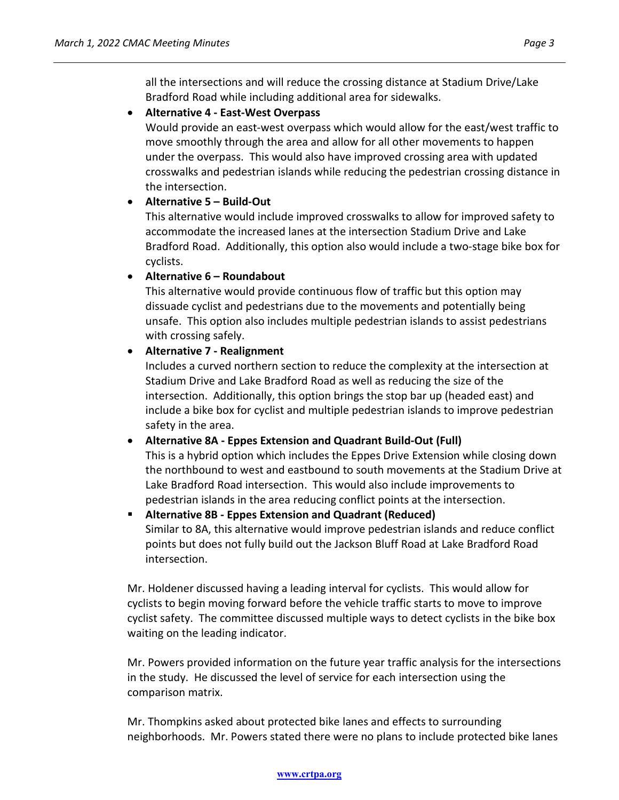all the intersections and will reduce the crossing distance at Stadium Drive/Lake Bradford Road while including additional area for sidewalks.

#### • **Alternative 4 - East-West Overpass**

Would provide an east-west overpass which would allow for the east/west traffic to move smoothly through the area and allow for all other movements to happen under the overpass. This would also have improved crossing area with updated crosswalks and pedestrian islands while reducing the pedestrian crossing distance in the intersection.

#### • **Alternative 5 – Build-Out**

This alternative would include improved crosswalks to allow for improved safety to accommodate the increased lanes at the intersection Stadium Drive and Lake Bradford Road. Additionally, this option also would include a two-stage bike box for cyclists.

#### • **Alternative 6 – Roundabout**

This alternative would provide continuous flow of traffic but this option may dissuade cyclist and pedestrians due to the movements and potentially being unsafe. This option also includes multiple pedestrian islands to assist pedestrians with crossing safely.

#### • **Alternative 7 - Realignment**

Includes a curved northern section to reduce the complexity at the intersection at Stadium Drive and Lake Bradford Road as well as reducing the size of the intersection. Additionally, this option brings the stop bar up (headed east) and include a bike box for cyclist and multiple pedestrian islands to improve pedestrian safety in the area.

#### • **Alternative 8A - Eppes Extension and Quadrant Build-Out (Full)**

This is a hybrid option which includes the Eppes Drive Extension while closing down the northbound to west and eastbound to south movements at the Stadium Drive at Lake Bradford Road intersection. This would also include improvements to pedestrian islands in the area reducing conflict points at the intersection.

 **Alternative 8B - Eppes Extension and Quadrant (Reduced)** Similar to 8A, this alternative would improve pedestrian islands and reduce conflict points but does not fully build out the Jackson Bluff Road at Lake Bradford Road intersection.

Mr. Holdener discussed having a leading interval for cyclists. This would allow for cyclists to begin moving forward before the vehicle traffic starts to move to improve cyclist safety. The committee discussed multiple ways to detect cyclists in the bike box waiting on the leading indicator.

Mr. Powers provided information on the future year traffic analysis for the intersections in the study. He discussed the level of service for each intersection using the comparison matrix.

Mr. Thompkins asked about protected bike lanes and effects to surrounding neighborhoods. Mr. Powers stated there were no plans to include protected bike lanes